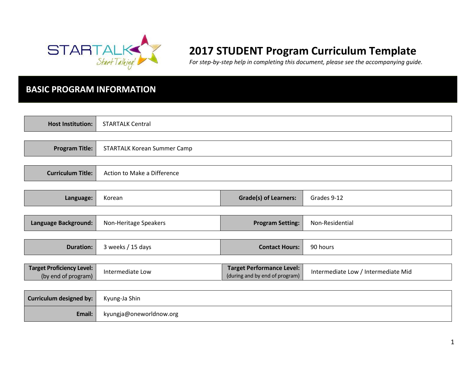

# **2017 STUDENT Program Curriculum Template**

*For step-by-step help in completing this document, please see the accompanying guide.* 

### **BASIC PROGRAM INFORMATION**

| <b>Host Institution:</b>                                | <b>STARTALK Central</b>            |                                                                    |                                     |
|---------------------------------------------------------|------------------------------------|--------------------------------------------------------------------|-------------------------------------|
|                                                         |                                    |                                                                    |                                     |
| <b>Program Title:</b>                                   | <b>STARTALK Korean Summer Camp</b> |                                                                    |                                     |
|                                                         |                                    |                                                                    |                                     |
| <b>Curriculum Title:</b>                                | Action to Make a Difference        |                                                                    |                                     |
|                                                         |                                    |                                                                    |                                     |
| Language:                                               | Korean                             | <b>Grade(s) of Learners:</b>                                       | Grades 9-12                         |
|                                                         |                                    |                                                                    |                                     |
| Language Background:                                    | Non-Heritage Speakers              | <b>Program Setting:</b>                                            | Non-Residential                     |
|                                                         |                                    |                                                                    |                                     |
| <b>Duration:</b>                                        | 3 weeks / 15 days                  | <b>Contact Hours:</b>                                              | 90 hours                            |
|                                                         |                                    |                                                                    |                                     |
| <b>Target Proficiency Level:</b><br>(by end of program) | Intermediate Low                   | <b>Target Performance Level:</b><br>(during and by end of program) | Intermediate Low / Intermediate Mid |
|                                                         |                                    |                                                                    |                                     |
| <b>Curriculum designed by:</b>                          | Kyung-Ja Shin                      |                                                                    |                                     |
| Email:                                                  | kyungja@oneworldnow.org            |                                                                    |                                     |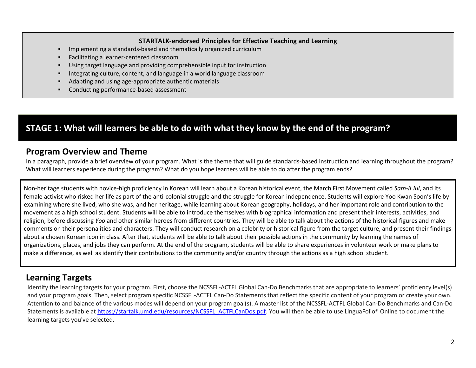#### **STARTALK-endorsed Principles for Effective Teaching and Learning**

- Implementing a standards-based and thematically organized curriculum
- Facilitating a learner-centered classroom
- Using target language and providing comprehensible input for instruction
- Integrating culture, content, and language in a world language classroom
- Adapting and using age-appropriate authentic materials
- Conducting performance-based assessment

## **STAGE 1: What will learners be able to do with what they know by the end of the program?**

#### **Program Overview and Theme**

In a paragraph, provide a brief overview of your program. What is the theme that will guide standards-based instruction and learning throughout the program? What will learners experience during the program? What do you hope learners will be able to do after the program ends?

Non-heritage students with novice-high proficiency in Korean will learn about a Korean historical event, the March First Movement called *Sam-Il Jul*, and its female activist who risked her life as part of the anti-colonial struggle and the struggle for Korean independence. Students will explore Yoo Kwan Soon's life by examining where she lived, who she was, and her heritage, while learning about Korean geography, holidays, and her important role and contribution to the movement as a high school student. Students will be able to introduce themselves with biographical information and present their interests, activities, and religion, before discussing *Yoo* and other similar heroes from different countries. They will be able to talk about the actions of the historical figures and make comments on their personalities and characters. They will conduct research on a celebrity or historical figure from the target culture, and present their findings about a chosen Korean icon in class. After that, students will be able to talk about their possible actions in the community by learning the names of organizations, places, and jobs they can perform. At the end of the program, students will be able to share experiences in volunteer work or make plans to make a difference, as well as identify their contributions to the community and/or country through the actions as a high school student.

### **Learning Targets**

Identify the learning targets for your program. First, choose the NCSSFL-ACTFL Global Can-Do Benchmarks that are appropriate to learners' proficiency level(s) and your program goals. Then, select program specific NCSSFL-ACTFL Can-Do Statements that reflect the specific content of your program or create your own. Attention to and balance of the various modes will depend on your program goal(s). A master list of the NCSSFL-ACTFL Global Can-Do Benchmarks and Can-Do Statements is available at [https://startalk.umd.edu/resources/NCSSFL\\_ACTFLCanDos.pdf.](https://startalk.umd.edu/resources/NCSSFL_ACTFLCanDos.pdf) You will then be able to use LinguaFolio® Online to document the learning targets you've selected.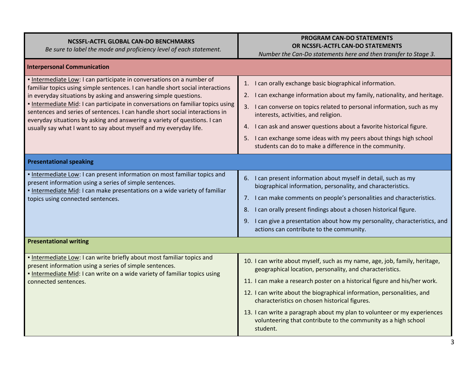| NCSSFL-ACTFL GLOBAL CAN-DO BENCHMARKS<br>Be sure to label the mode and proficiency level of each statement.                                                                                                                                                                                                                                                                                                                                                                                                                                      | <b>PROGRAM CAN-DO STATEMENTS</b><br>OR NCSSFL-ACTFL CAN-DO STATEMENTS<br>Number the Can-Do statements here and then transfer to Stage 3.                                                                                                                                                                                                                                                                                                                                                                 |
|--------------------------------------------------------------------------------------------------------------------------------------------------------------------------------------------------------------------------------------------------------------------------------------------------------------------------------------------------------------------------------------------------------------------------------------------------------------------------------------------------------------------------------------------------|----------------------------------------------------------------------------------------------------------------------------------------------------------------------------------------------------------------------------------------------------------------------------------------------------------------------------------------------------------------------------------------------------------------------------------------------------------------------------------------------------------|
| <b>Interpersonal Communication</b>                                                                                                                                                                                                                                                                                                                                                                                                                                                                                                               |                                                                                                                                                                                                                                                                                                                                                                                                                                                                                                          |
| . Intermediate Low: I can participate in conversations on a number of<br>familiar topics using simple sentences. I can handle short social interactions<br>in everyday situations by asking and answering simple questions.<br>. Intermediate Mid: I can participate in conversations on familiar topics using<br>sentences and series of sentences. I can handle short social interactions in<br>everyday situations by asking and answering a variety of questions. I can<br>usually say what I want to say about myself and my everyday life. | 1. I can orally exchange basic biographical information.<br>2. I can exchange information about my family, nationality, and heritage.<br>3. I can converse on topics related to personal information, such as my<br>interests, activities, and religion.<br>4. I can ask and answer questions about a favorite historical figure.<br>5. I can exchange some ideas with my peers about things high school<br>students can do to make a difference in the community.                                       |
| <b>Presentational speaking</b>                                                                                                                                                                                                                                                                                                                                                                                                                                                                                                                   |                                                                                                                                                                                                                                                                                                                                                                                                                                                                                                          |
| . Intermediate Low: I can present information on most familiar topics and<br>present information using a series of simple sentences.<br>. Intermediate Mid: I can make presentations on a wide variety of familiar<br>topics using connected sentences.                                                                                                                                                                                                                                                                                          | 6. I can present information about myself in detail, such as my<br>biographical information, personality, and characteristics.<br>7. I can make comments on people's personalities and characteristics.<br>I can orally present findings about a chosen historical figure.<br>8.<br>9. I can give a presentation about how my personality, characteristics, and<br>actions can contribute to the community.                                                                                              |
| <b>Presentational writing</b>                                                                                                                                                                                                                                                                                                                                                                                                                                                                                                                    |                                                                                                                                                                                                                                                                                                                                                                                                                                                                                                          |
| . Intermediate Low: I can write briefly about most familiar topics and<br>present information using a series of simple sentences.<br>. Intermediate Mid: I can write on a wide variety of familiar topics using<br>connected sentences.                                                                                                                                                                                                                                                                                                          | 10. I can write about myself, such as my name, age, job, family, heritage,<br>geographical location, personality, and characteristics.<br>11. I can make a research poster on a historical figure and his/her work.<br>12. I can write about the biographical information, personalities, and<br>characteristics on chosen historical figures.<br>13. I can write a paragraph about my plan to volunteer or my experiences<br>volunteering that contribute to the community as a high school<br>student. |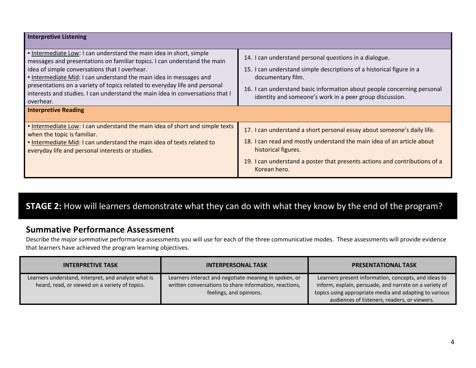| <b>Interpretive Listening</b>                                                                                                                                                                                                                                                                                                                                                                                                                                                   |                                                                                                                                                                                                                                                                                           |
|---------------------------------------------------------------------------------------------------------------------------------------------------------------------------------------------------------------------------------------------------------------------------------------------------------------------------------------------------------------------------------------------------------------------------------------------------------------------------------|-------------------------------------------------------------------------------------------------------------------------------------------------------------------------------------------------------------------------------------------------------------------------------------------|
| Intermediate Low: I can understand the main idea in short, simple<br>messages and presentations on familiar topics. I can understand the main<br>idea of simple conversations that I overhear.<br>. Intermediate Mid: I can understand the main idea in messages and<br>presentations on a variety of topics related to everyday life and personal<br>interests and studies. I can understand the main idea in conversations that I<br>overhear.<br><b>Interpretive Reading</b> | 14. I can understand personal questions in a dialogue.<br>15. I can understand simple descriptions of a historical figure in a<br>documentary film.<br>16. I can understand basic information about people concerning personal<br>identity and someone's work in a peer group discussion. |
| . Intermediate Low: I can understand the main idea of short and simple texts<br>when the topic is familiar.<br>. Intermediate Mid: I can understand the main idea of texts related to<br>everyday life and personal interests or studies.                                                                                                                                                                                                                                       | 17. I can understand a short personal essay about someone's daily life.<br>18. I can read and mostly understand the main idea of an article about<br>historical figures.<br>19. I can understand a poster that presents actions and contributions of a<br>Korean hero.                    |

## **STAGE 2:** How will learners demonstrate what they can do with what they know by the end of the program?

### **Summative Performance Assessment**

Describe the *major summative* performance assessments you will use for each of the three communicative modes. These assessments will provide evidence that learners have achieved the program learning objectives.

| <b>INTERPRETIVE TASK</b>                                                                              | <b>INTERPERSONAL TASK</b>                                                                                                                  | <b>PRESENTATIONAL TASK</b>                                                                                                                                                                                               |
|-------------------------------------------------------------------------------------------------------|--------------------------------------------------------------------------------------------------------------------------------------------|--------------------------------------------------------------------------------------------------------------------------------------------------------------------------------------------------------------------------|
| Learners understand, interpret, and analyze what is<br>heard, read, or viewed on a variety of topics. | Learners interact and negotiate meaning in spoken, or<br>written conversations to share information, reactions,<br>feelings, and opinions. | Learners present information, concepts, and ideas to<br>inform, explain, persuade, and narrate on a variety of<br>topics using appropriate media and adapting to various<br>audiences of listeners, readers, or viewers. |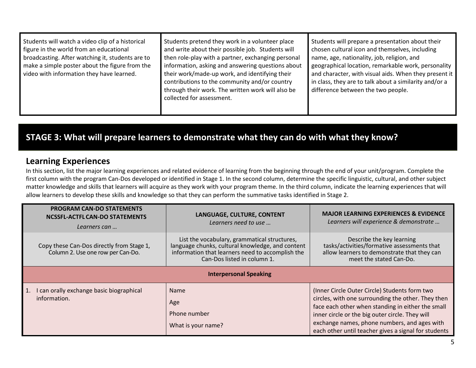| Students will watch a video clip of a historical<br>figure in the world from an educational<br>broadcasting. After watching it, students are to<br>make a simple poster about the figure from the<br>video with information they have learned. | Students pretend they work in a volunteer place<br>and write about their possible job. Students will<br>then role-play with a partner, exchanging personal<br>information, asking and answering questions about<br>their work/made-up work, and identifying their<br>contributions to the community and/or country<br>through their work. The written work will also be<br>collected for assessment. | Students will prepare a presentation about their<br>chosen cultural icon and themselves, including<br>name, age, nationality, job, religion, and<br>geographical location, remarkable work, personality<br>and character, with visual aids. When they present it<br>in class, they are to talk about a similarity and/or a<br>difference between the two people. |
|------------------------------------------------------------------------------------------------------------------------------------------------------------------------------------------------------------------------------------------------|------------------------------------------------------------------------------------------------------------------------------------------------------------------------------------------------------------------------------------------------------------------------------------------------------------------------------------------------------------------------------------------------------|------------------------------------------------------------------------------------------------------------------------------------------------------------------------------------------------------------------------------------------------------------------------------------------------------------------------------------------------------------------|
|------------------------------------------------------------------------------------------------------------------------------------------------------------------------------------------------------------------------------------------------|------------------------------------------------------------------------------------------------------------------------------------------------------------------------------------------------------------------------------------------------------------------------------------------------------------------------------------------------------------------------------------------------------|------------------------------------------------------------------------------------------------------------------------------------------------------------------------------------------------------------------------------------------------------------------------------------------------------------------------------------------------------------------|

## **STAGE 3: What will prepare learners to demonstrate what they can do with what they know?**

### **Learning Experiences**

In this section, list the major learning experiences and related evidence of learning from the beginning through the end of your unit/program. Complete the first column with the program Can-Dos developed or identified in Stage 1. In the second column, determine the specific linguistic, cultural, and other subject matter knowledge and skills that learners will acquire as they work with your program theme. In the third column, indicate the learning experiences that will allow learners to develop these skills and knowledge so that they can perform the summative tasks identified in Stage 2.

| <b>PROGRAM CAN-DO STATEMENTS</b><br><b>NCSSFL-ACTFL CAN-DO STATEMENTS</b><br>Learners can | LANGUAGE, CULTURE, CONTENT<br>Learners need to use                                                                                                                                  | <b>MAJOR LEARNING EXPERIENCES &amp; EVIDENCE</b><br>Learners will experience & demonstrate                                                                                                                                                                                                                          |  |
|-------------------------------------------------------------------------------------------|-------------------------------------------------------------------------------------------------------------------------------------------------------------------------------------|---------------------------------------------------------------------------------------------------------------------------------------------------------------------------------------------------------------------------------------------------------------------------------------------------------------------|--|
| Copy these Can-Dos directly from Stage 1,<br>Column 2. Use one row per Can-Do.            | List the vocabulary, grammatical structures,<br>language chunks, cultural knowledge, and content<br>information that learners need to accomplish the<br>Can-Dos listed in column 1. | Describe the key learning<br>tasks/activities/formative assessments that<br>allow learners to demonstrate that they can<br>meet the stated Can-Do.                                                                                                                                                                  |  |
| <b>Interpersonal Speaking</b>                                                             |                                                                                                                                                                                     |                                                                                                                                                                                                                                                                                                                     |  |
| I can orally exchange basic biographical<br>information.                                  | <b>Name</b><br>Age<br>Phone number<br>What is your name?                                                                                                                            | (Inner Circle Outer Circle) Students form two<br>circles, with one surrounding the other. They then<br>face each other when standing in either the small<br>inner circle or the big outer circle. They will<br>exchange names, phone numbers, and ages with<br>each other until teacher gives a signal for students |  |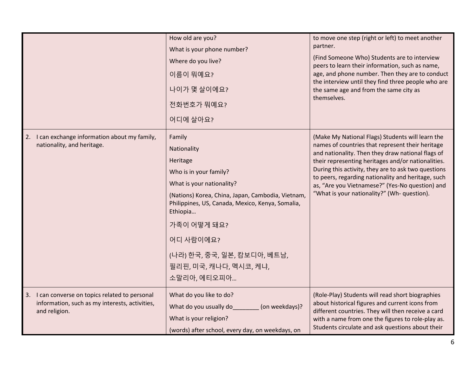|                                                                                                                    | How old are you?<br>What is your phone number?<br>Where do you live?<br>이름이 뭐예요?<br>나이가 몇 살이에요?<br>전화번호가 뭐예요?<br>어디에 살아요?                                                                                                                                                                                         | to move one step (right or left) to meet another<br>partner.<br>(Find Someone Who) Students are to interview<br>peers to learn their information, such as name,<br>age, and phone number. Then they are to conduct<br>the interview until they find three people who are<br>the same age and from the same city as<br>themselves.                                                                                              |
|--------------------------------------------------------------------------------------------------------------------|-------------------------------------------------------------------------------------------------------------------------------------------------------------------------------------------------------------------------------------------------------------------------------------------------------------------|--------------------------------------------------------------------------------------------------------------------------------------------------------------------------------------------------------------------------------------------------------------------------------------------------------------------------------------------------------------------------------------------------------------------------------|
| 2. I can exchange information about my family,<br>nationality, and heritage.                                       | Family<br>Nationality<br>Heritage<br>Who is in your family?<br>What is your nationality?<br>(Nations) Korea, China, Japan, Cambodia, Vietnam,<br>Philippines, US, Canada, Mexico, Kenya, Somalia,<br>Ethiopia<br>가족이 어떻게 돼요?<br>어디 사람이에요?<br>(나라) 한국, 중국, 일본, 캄보디아, 베트남,<br>필리핀, 미국, 캐나다, 멕시코, 케냐,<br>소말리아, 에티오피아 | (Make My National Flags) Students will learn the<br>names of countries that represent their heritage<br>and nationality. Then they draw national flags of<br>their representing heritages and/or nationalities.<br>During this activity, they are to ask two questions<br>to peers, regarding nationality and heritage, such<br>as, "Are you Vietnamese?" (Yes-No question) and<br>"What is your nationality?" (Wh- question). |
| 3. I can converse on topics related to personal<br>information, such as my interests, activities,<br>and religion. | What do you like to do?<br>What do you usually do<br>(on weekdays)?<br>What is your religion?<br>(words) after school, every day, on weekdays, on                                                                                                                                                                 | (Role-Play) Students will read short biographies<br>about historical figures and current icons from<br>different countries. They will then receive a card<br>with a name from one the figures to role-play as.<br>Students circulate and ask questions about their                                                                                                                                                             |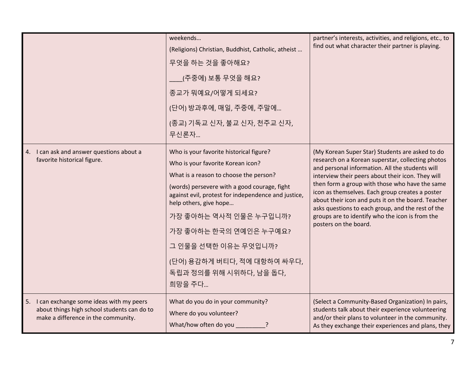|                                                                                                                                     | weekends<br>(Religions) Christian, Buddhist, Catholic, atheist<br>무엇을 하는 것을 좋아해요?<br>(주중에) 보통 무엇을 해요?<br>종교가 뭐예요/어떻게 되세요?<br>(단어) 방과후에, 매일, 주중에, 주말에<br>(종교) 기독교 신자, 불교 신자, 천주교 신자,<br>무신론자                                                                                                                                                                                                             | partner's interests, activities, and religions, etc., to<br>find out what character their partner is playing.                                                                                                                                                                                                                                                                                                                                                                                            |
|-------------------------------------------------------------------------------------------------------------------------------------|---------------------------------------------------------------------------------------------------------------------------------------------------------------------------------------------------------------------------------------------------------------------------------------------------------------------------------------------------------------------------------------------------------|----------------------------------------------------------------------------------------------------------------------------------------------------------------------------------------------------------------------------------------------------------------------------------------------------------------------------------------------------------------------------------------------------------------------------------------------------------------------------------------------------------|
| 4. I can ask and answer questions about a<br>favorite historical figure.                                                            | Who is your favorite historical figure?<br>Who is your favorite Korean icon?<br>What is a reason to choose the person?<br>(words) persevere with a good courage, fight<br>against evil, protest for independence and justice,<br>help others, give hope<br>가장 좋아하는 역사적 인물은 누구입니까?<br>가장 좋아하는 한국의 연예인은 누구예요?<br>그 인물을 선택한 이유는 무엇입니까?<br>(단어) 용감하게 버티다, 적에 대항하여 싸우다,<br>독립과 정의를 위해 시위하다, 남을 돕다,<br>희망을 주다 | (My Korean Super Star) Students are asked to do<br>research on a Korean superstar, collecting photos<br>and personal information. All the students will<br>interview their peers about their icon. They will<br>then form a group with those who have the same<br>icon as themselves. Each group creates a poster<br>about their icon and puts it on the board. Teacher<br>asks questions to each group, and the rest of the<br>groups are to identify who the icon is from the<br>posters on the board. |
| I can exchange some ideas with my peers<br>5.<br>about things high school students can do to<br>make a difference in the community. | What do you do in your community?<br>Where do you volunteer?<br>What/how often do you                                                                                                                                                                                                                                                                                                                   | (Select a Community-Based Organization) In pairs,<br>students talk about their experience volunteering<br>and/or their plans to volunteer in the community.<br>As they exchange their experiences and plans, they                                                                                                                                                                                                                                                                                        |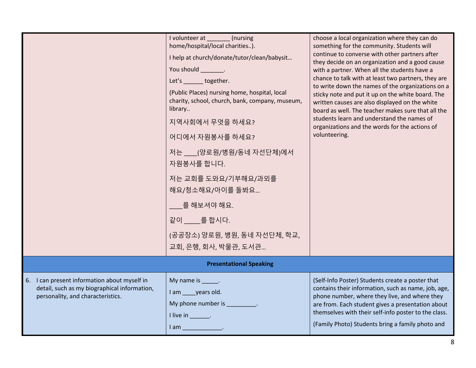|                                                                                                                                      | I volunteer at ________(nursing<br>home/hospital/local charities).<br>I help at church/donate/tutor/clean/babysit<br>You should _________.<br>Let's together.<br>(Public Places) nursing home, hospital, local<br>charity, school, church, bank, company, museum,<br>library<br>지역사회에서 무엇을 하세요?<br>어디에서 자원봉사를 하세요?<br>저는 ___(양로원/병원/동네 자선단체)에서<br>자원봉사를 합니다.<br>저는 교회를 도와요/기부해요/과외를<br>해요/청소해요/아이를 돌봐요<br>를 해보셔야 해요.<br>같이 를합시다.<br>(공공장소) 양로원, 병원, 동네 자선단체, 학교, | choose a local organization where they can do<br>something for the community. Students will<br>continue to converse with other partners after<br>they decide on an organization and a good cause<br>with a partner. When all the students have a<br>chance to talk with at least two partners, they are<br>to write down the names of the organizations on a<br>sticky note and put it up on the white board. The<br>written causes are also displayed on the white<br>board as well. The teacher makes sure that all the<br>students learn and understand the names of<br>organizations and the words for the actions of<br>volunteering. |  |
|--------------------------------------------------------------------------------------------------------------------------------------|------------------------------------------------------------------------------------------------------------------------------------------------------------------------------------------------------------------------------------------------------------------------------------------------------------------------------------------------------------------------------------------------------------------------------------------------------------------|--------------------------------------------------------------------------------------------------------------------------------------------------------------------------------------------------------------------------------------------------------------------------------------------------------------------------------------------------------------------------------------------------------------------------------------------------------------------------------------------------------------------------------------------------------------------------------------------------------------------------------------------|--|
|                                                                                                                                      | 교회, 은행, 회사, 박물관, 도서관                                                                                                                                                                                                                                                                                                                                                                                                                                             |                                                                                                                                                                                                                                                                                                                                                                                                                                                                                                                                                                                                                                            |  |
| <b>Presentational Speaking</b>                                                                                                       |                                                                                                                                                                                                                                                                                                                                                                                                                                                                  |                                                                                                                                                                                                                                                                                                                                                                                                                                                                                                                                                                                                                                            |  |
| I can present information about myself in<br>6.<br>detail, such as my biographical information,<br>personality, and characteristics. | My name is ______.<br>I am years old.<br>My phone number is ____________.<br>I live in $\_\_\_\_\_\_\$<br>I am _________________                                                                                                                                                                                                                                                                                                                                 | (Self-Info Poster) Students create a poster that<br>contains their information, such as name, job, age,<br>phone number, where they live, and where they<br>are from. Each student gives a presentation about<br>themselves with their self-info poster to the class.<br>(Family Photo) Students bring a family photo and                                                                                                                                                                                                                                                                                                                  |  |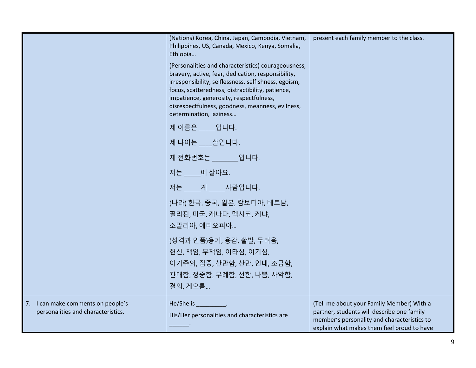|                                                                          | (Nations) Korea, China, Japan, Cambodia, Vietnam,<br>Philippines, US, Canada, Mexico, Kenya, Somalia,<br>Ethiopia<br>(Personalities and characteristics) courageousness,<br>bravery, active, fear, dedication, responsibility,<br>irresponsibility, selflessness, selfishness, egoism,<br>focus, scatteredness, distractibility, patience,<br>impatience, generosity, respectfulness,<br>disrespectfulness, goodness, meanness, evilness,<br>determination, laziness<br>제 이름은 ____입니다.<br>제 나이는 __ 살입니다.<br>제 전화번호는 입니다.<br>저는 에살아요.<br>저는 _____계 _____사람입니다.<br>(나라) 한국, 중국, 일본, 캄보디아, 베트남,<br>필리핀, 미국, 캐나다, 멕시코, 케냐,<br>소말리아, 에티오피아<br>(성격과 인품)용기, 용감, 활발, 두려움,<br>헌신, 책임, 무책임, 이타심, 이기심,<br>이기주의, 집중, 산만함, 산만, 인내, 조급함,<br>관대함, 정중함, 무례함, 선함, 나쁨, 사악함,<br>결의, 게으름 | present each family member to the class.                                                                                                                                             |
|--------------------------------------------------------------------------|----------------------------------------------------------------------------------------------------------------------------------------------------------------------------------------------------------------------------------------------------------------------------------------------------------------------------------------------------------------------------------------------------------------------------------------------------------------------------------------------------------------------------------------------------------------------------------------------------------------------------------------------------------------------------------------------------------------------------------------------------------------------|--------------------------------------------------------------------------------------------------------------------------------------------------------------------------------------|
| 7. I can make comments on people's<br>personalities and characteristics. | He/She is<br>His/Her personalities and characteristics are                                                                                                                                                                                                                                                                                                                                                                                                                                                                                                                                                                                                                                                                                                           | (Tell me about your Family Member) With a<br>partner, students will describe one family<br>member's personality and characteristics to<br>explain what makes them feel proud to have |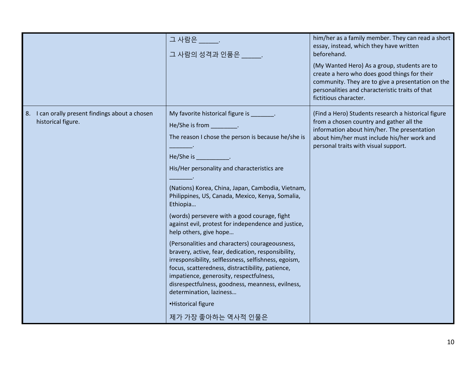|                                                                          | 그 사람은<br>그 사람의 성격과 인품은 _____.                                                                                                                                                                                                                                                                                                                                                                                                                                                                                                                                                                                                                                                                                                                                                                                                              | him/her as a family member. They can read a short<br>essay, instead, which they have written<br>beforehand.<br>(My Wanted Hero) As a group, students are to<br>create a hero who does good things for their<br>community. They are to give a presentation on the<br>personalities and characteristic traits of that<br>fictitious character. |
|--------------------------------------------------------------------------|--------------------------------------------------------------------------------------------------------------------------------------------------------------------------------------------------------------------------------------------------------------------------------------------------------------------------------------------------------------------------------------------------------------------------------------------------------------------------------------------------------------------------------------------------------------------------------------------------------------------------------------------------------------------------------------------------------------------------------------------------------------------------------------------------------------------------------------------|----------------------------------------------------------------------------------------------------------------------------------------------------------------------------------------------------------------------------------------------------------------------------------------------------------------------------------------------|
| I can orally present findings about a chosen<br>8.<br>historical figure. | My favorite historical figure is _______.<br>He/She is from ___________.<br>The reason I chose the person is because he/she is<br>He/She is<br>His/Her personality and characteristics are<br>(Nations) Korea, China, Japan, Cambodia, Vietnam,<br>Philippines, US, Canada, Mexico, Kenya, Somalia,<br>Ethiopia<br>(words) persevere with a good courage, fight<br>against evil, protest for independence and justice,<br>help others, give hope<br>(Personalities and characters) courageousness,<br>bravery, active, fear, dedication, responsibility,<br>irresponsibility, selflessness, selfishness, egoism,<br>focus, scatteredness, distractibility, patience,<br>impatience, generosity, respectfulness,<br>disrespectfulness, goodness, meanness, evilness,<br>determination, laziness<br>-Historical figure<br>제가 가장 좋아하는 역사적 인물은 | (Find a Hero) Students research a historical figure<br>from a chosen country and gather all the<br>information about him/her. The presentation<br>about him/her must include his/her work and<br>personal traits with visual support.                                                                                                        |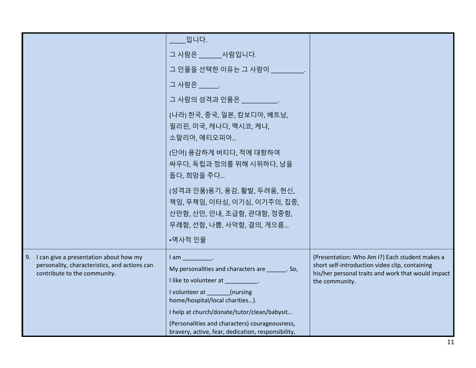|                                                                                                                            | 입니다.                                                                                                                                                                                                           |                                                                                                                                                                          |
|----------------------------------------------------------------------------------------------------------------------------|----------------------------------------------------------------------------------------------------------------------------------------------------------------------------------------------------------------|--------------------------------------------------------------------------------------------------------------------------------------------------------------------------|
|                                                                                                                            | 그 사람은 _____ 사람입니다.                                                                                                                                                                                             |                                                                                                                                                                          |
|                                                                                                                            | 그 인물을 선택한 이유는 그 사람이 Thing High                                                                                                                                                                                 |                                                                                                                                                                          |
|                                                                                                                            | 그 사람은                                                                                                                                                                                                          |                                                                                                                                                                          |
|                                                                                                                            | 그 사람의 성격과 인품은 Tellion Act A                                                                                                                                                                                    |                                                                                                                                                                          |
|                                                                                                                            | (나라) 한국, 중국, 일본, 캄보디아, 베트남,<br>필리핀, 미국, 캐나다, 멕시코, 케냐,<br>소말리아, 에티오피아                                                                                                                                           |                                                                                                                                                                          |
|                                                                                                                            | (단어) 용감하게 버티다, 적에 대항하여<br>싸우다, 독립과 정의를 위해 시위하다, 남을<br>돕다, 희망을 주다                                                                                                                                               |                                                                                                                                                                          |
|                                                                                                                            | (성격과 인품)용기, 용감, 활발, 두려움, 헌신,<br>책임, 무책임, 이타심, 이기심, 이기주의, 집중,<br>산만함, 산만, 인내, 조급함, 관대함, 정중함,<br>무례함, 선함, 나쁨, 사악함, 결의, 게으름                                                                                       |                                                                                                                                                                          |
|                                                                                                                            | •역사적 인물                                                                                                                                                                                                        |                                                                                                                                                                          |
| 9. I can give a presentation about how my<br>personality, characteristics, and actions can<br>contribute to the community. | lam .<br>My personalities and characters are _______. So,<br>I like to volunteer at The Control of the Control of the Control of the Control of the Control of the Control o<br>I volunteer at _______(nursing | (Presentation: Who Am I?) Each student makes a<br>short self-introduction video clip, containing<br>his/her personal traits and work that would impact<br>the community. |
|                                                                                                                            | home/hospital/local charities).                                                                                                                                                                                |                                                                                                                                                                          |
|                                                                                                                            | I help at church/donate/tutor/clean/babysit                                                                                                                                                                    |                                                                                                                                                                          |
|                                                                                                                            | (Personalities and characters) courageousness,<br>bravery, active, fear, dedication, responsibility,                                                                                                           |                                                                                                                                                                          |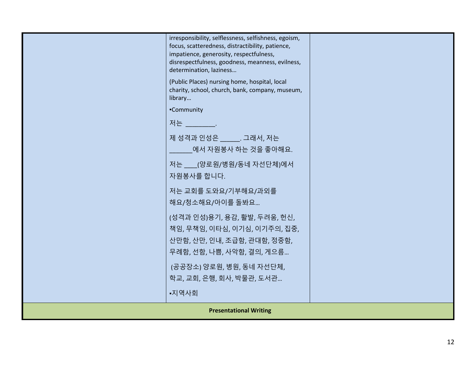|                               | irresponsibility, selflessness, selfishness, egoism,<br>focus, scatteredness, distractibility, patience,<br>impatience, generosity, respectfulness,<br>disrespectfulness, goodness, meanness, evilness,<br>determination, laziness<br>(Public Places) nursing home, hospital, local<br>charity, school, church, bank, company, museum,<br>library<br>-Community<br>저는 어떤<br>제성격과 인성은 .그래서, 저는<br>에서 자원봉사 하는 것을 좋아해요.<br>저는 ___(양로원/병원/동네 자선단체)에서 |  |
|-------------------------------|--------------------------------------------------------------------------------------------------------------------------------------------------------------------------------------------------------------------------------------------------------------------------------------------------------------------------------------------------------------------------------------------------------------------------------------------------|--|
|                               | 자원봉사를 합니다.<br>저는 교회를 도와요/기부해요/과외를<br>해요/청소해요/아이를 돌봐요                                                                                                                                                                                                                                                                                                                                                                                             |  |
|                               | (성격과 인성)용기, 용감, 활발, 두려움, 헌신,<br>책임, 무책임, 이타심, 이기심, 이기주의, 집중,<br>산만함, 산만, 인내, 조급함, 관대함, 정중함,<br>무례함, 선함, 나쁨, 사악함, 결의, 게으름                                                                                                                                                                                                                                                                                                                         |  |
|                               | (공공장소) 양로원, 병원, 동네 자선단체,<br>학교, 교회, 은행, 회사, 박물관, 도서관                                                                                                                                                                                                                                                                                                                                                                                             |  |
|                               | •지역사회                                                                                                                                                                                                                                                                                                                                                                                                                                            |  |
| <b>Presentational Writing</b> |                                                                                                                                                                                                                                                                                                                                                                                                                                                  |  |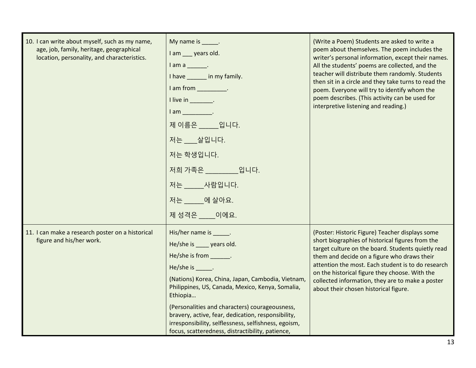| 10. I can write about myself, such as my name,<br>age, job, family, heritage, geographical<br>location, personality, and characteristics. | My name is ______.<br>I am ___ years old.<br>$l$ am a $\qquad$ .<br>I have _______ in my family.<br>I am from ____________.<br>I live in $\_\_\_\_\_\_\$ .<br>$I$ am $\qquad$ .<br>제 이름은 _____ 입니다.<br>저는 __ 살입니다.<br>저는 학생입니다.<br>저희 가족은 일니다.<br>저는 사람입니다.<br>저는 ____ 에 살아요.<br>제성격은 이에요.                                                                                                                                                    | (Write a Poem) Students are asked to write a<br>poem about themselves. The poem includes the<br>writer's personal information, except their names.<br>All the students' poems are collected, and the<br>teacher will distribute them randomly. Students<br>then sit in a circle and they take turns to read the<br>poem. Everyone will try to identify whom the<br>poem describes. (This activity can be used for<br>interpretive listening and reading.) |
|-------------------------------------------------------------------------------------------------------------------------------------------|-----------------------------------------------------------------------------------------------------------------------------------------------------------------------------------------------------------------------------------------------------------------------------------------------------------------------------------------------------------------------------------------------------------------------------------------------|-----------------------------------------------------------------------------------------------------------------------------------------------------------------------------------------------------------------------------------------------------------------------------------------------------------------------------------------------------------------------------------------------------------------------------------------------------------|
| 11. I can make a research poster on a historical<br>figure and his/her work.                                                              | His/her name is ______.<br>He/she is ____ years old.<br>He/she is from _______.<br>He/she is ______.<br>(Nations) Korea, China, Japan, Cambodia, Vietnam,<br>Philippines, US, Canada, Mexico, Kenya, Somalia,<br>Ethiopia<br>(Personalities and characters) courageousness,<br>bravery, active, fear, dedication, responsibility,<br>irresponsibility, selflessness, selfishness, egoism,<br>focus, scatteredness, distractibility, patience, | (Poster: Historic Figure) Teacher displays some<br>short biographies of historical figures from the<br>target culture on the board. Students quietly read<br>them and decide on a figure who draws their<br>attention the most. Each student is to do research<br>on the historical figure they choose. With the<br>collected information, they are to make a poster<br>about their chosen historical figure.                                             |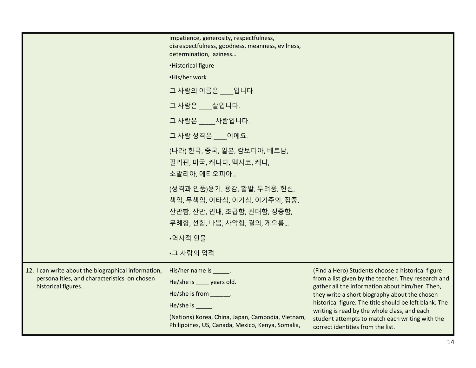|                                                                                                                            | impatience, generosity, respectfulness,<br>disrespectfulness, goodness, meanness, evilness,<br>determination, laziness                                                                                      |                                                                                                                                                                                                                                                                                                                                                                                                                |
|----------------------------------------------------------------------------------------------------------------------------|-------------------------------------------------------------------------------------------------------------------------------------------------------------------------------------------------------------|----------------------------------------------------------------------------------------------------------------------------------------------------------------------------------------------------------------------------------------------------------------------------------------------------------------------------------------------------------------------------------------------------------------|
|                                                                                                                            | <b>Historical figure</b>                                                                                                                                                                                    |                                                                                                                                                                                                                                                                                                                                                                                                                |
|                                                                                                                            | -His/her work                                                                                                                                                                                               |                                                                                                                                                                                                                                                                                                                                                                                                                |
|                                                                                                                            | 그 사람의 이름은 __ 입니다.                                                                                                                                                                                           |                                                                                                                                                                                                                                                                                                                                                                                                                |
|                                                                                                                            | 그 사람은 __ 살입니다.                                                                                                                                                                                              |                                                                                                                                                                                                                                                                                                                                                                                                                |
|                                                                                                                            | 그 사람은 ____사람입니다.                                                                                                                                                                                            |                                                                                                                                                                                                                                                                                                                                                                                                                |
|                                                                                                                            | 그 사람 성격은 ___ 이에요.                                                                                                                                                                                           |                                                                                                                                                                                                                                                                                                                                                                                                                |
|                                                                                                                            | (나라) 한국, 중국, 일본, 캄보디아, 베트남,<br>필리핀, 미국, 캐나다, 멕시코, 케냐,<br>소말리아, 에티오피아                                                                                                                                        |                                                                                                                                                                                                                                                                                                                                                                                                                |
|                                                                                                                            | (성격과 인품)용기, 용감, 활발, 두려움, 헌신,<br>책임, 무책임, 이타심, 이기심, 이기주의, 집중,<br>산만함, 산만, 인내, 조급함, 관대함, 정중함,<br>무례함, 선함, 나쁨, 사악함, 결의, 게으름                                                                                    |                                                                                                                                                                                                                                                                                                                                                                                                                |
|                                                                                                                            | •역사적 인물                                                                                                                                                                                                     |                                                                                                                                                                                                                                                                                                                                                                                                                |
|                                                                                                                            | •그 사람의 업적                                                                                                                                                                                                   |                                                                                                                                                                                                                                                                                                                                                                                                                |
| 12. I can write about the biographical information,<br>personalities, and characteristics on chosen<br>historical figures. | His/her name is Fig.<br>He/she is _____ years old.<br>He/she is from _______.<br>He/she is ______.<br>(Nations) Korea, China, Japan, Cambodia, Vietnam,<br>Philippines, US, Canada, Mexico, Kenya, Somalia, | (Find a Hero) Students choose a historical figure<br>from a list given by the teacher. They research and<br>gather all the information about him/her. Then,<br>they write a short biography about the chosen<br>historical figure. The title should be left blank. The<br>writing is read by the whole class, and each<br>student attempts to match each writing with the<br>correct identities from the list. |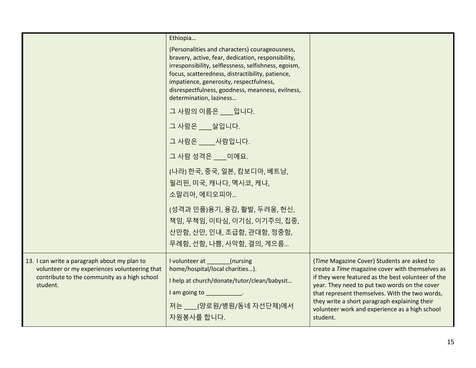|                                                                                                                                                           | Ethiopia                                                                                                                                                                                                                                                                                                                                   |                                                                                                                                                                                                                                                                                                                                                                        |
|-----------------------------------------------------------------------------------------------------------------------------------------------------------|--------------------------------------------------------------------------------------------------------------------------------------------------------------------------------------------------------------------------------------------------------------------------------------------------------------------------------------------|------------------------------------------------------------------------------------------------------------------------------------------------------------------------------------------------------------------------------------------------------------------------------------------------------------------------------------------------------------------------|
|                                                                                                                                                           | (Personalities and characters) courageousness,<br>bravery, active, fear, dedication, responsibility,<br>irresponsibility, selflessness, selfishness, egoism,<br>focus, scatteredness, distractibility, patience,<br>impatience, generosity, respectfulness,<br>disrespectfulness, goodness, meanness, evilness,<br>determination, laziness |                                                                                                                                                                                                                                                                                                                                                                        |
|                                                                                                                                                           | 그 사람의 이름은 ___입니다.                                                                                                                                                                                                                                                                                                                          |                                                                                                                                                                                                                                                                                                                                                                        |
|                                                                                                                                                           | 그 사람은 살입니다.                                                                                                                                                                                                                                                                                                                                |                                                                                                                                                                                                                                                                                                                                                                        |
|                                                                                                                                                           | 그 사람은 ____사람입니다.                                                                                                                                                                                                                                                                                                                           |                                                                                                                                                                                                                                                                                                                                                                        |
|                                                                                                                                                           | 그 사람 성격은 이에요.                                                                                                                                                                                                                                                                                                                              |                                                                                                                                                                                                                                                                                                                                                                        |
|                                                                                                                                                           | (나라) 한국, 중국, 일본, 캄보디아, 베트남,<br>필리핀, 미국, 캐나다, 멕시코, 케냐,<br>소말리아, 에티오피아                                                                                                                                                                                                                                                                       |                                                                                                                                                                                                                                                                                                                                                                        |
|                                                                                                                                                           | (성격과 인품)용기, 용감, 활발, 두려움, 헌신,<br>책임, 무책임, 이타심, 이기심, 이기주의, 집중,<br>산만함, 산만, 인내, 조급함, 관대함, 정중함,<br>무례함, 선함, 나쁨, 사악함, 결의, 게으름                                                                                                                                                                                                                   |                                                                                                                                                                                                                                                                                                                                                                        |
| 13. I can write a paragraph about my plan to<br>volunteer or my experiences volunteering that<br>contribute to the community as a high school<br>student. | I volunteer at (nursing<br>home/hospital/local charities).<br>I help at church/donate/tutor/clean/babysit<br>I am going to ____________.<br>저는 ___(양로원/병원/동네 자선단체)에서<br>자원봉사를 합니다.                                                                                                                                                         | (Time Magazine Cover) Students are asked to<br>create a Time magazine cover with themselves as<br>if they were featured as the best volunteer of the<br>year. They need to put two words on the cover<br>that represent themselves. With the two words,<br>they write a short paragraph explaining their<br>volunteer work and experience as a high school<br>student. |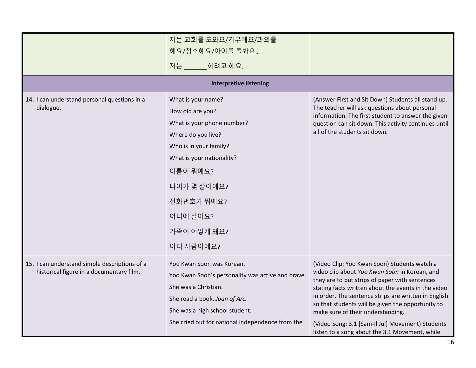|                                                                                           | 저는 교회를 도와요/기부해요/과외를                                                                                                                                                                                                                |                                                                                                                                                                                                                                                                                                                                                                                                                                                                |
|-------------------------------------------------------------------------------------------|------------------------------------------------------------------------------------------------------------------------------------------------------------------------------------------------------------------------------------|----------------------------------------------------------------------------------------------------------------------------------------------------------------------------------------------------------------------------------------------------------------------------------------------------------------------------------------------------------------------------------------------------------------------------------------------------------------|
|                                                                                           | 해요/청소해요/아이를 돌봐요                                                                                                                                                                                                                    |                                                                                                                                                                                                                                                                                                                                                                                                                                                                |
|                                                                                           | 저는 _____ 하려고 해요.                                                                                                                                                                                                                   |                                                                                                                                                                                                                                                                                                                                                                                                                                                                |
|                                                                                           | <b>Interpretive listening</b>                                                                                                                                                                                                      |                                                                                                                                                                                                                                                                                                                                                                                                                                                                |
| 14. I can understand personal questions in a<br>dialogue.                                 | What is your name?<br>How old are you?<br>What is your phone number?<br>Where do you live?<br>Who is in your family?<br>What is your nationality?<br>이름이 뭐예요?<br>나이가 몇 살이에요?<br>전화번호가 뭐예요?<br>어디에 살아요?<br>가족이 어떻게 돼요?<br>어디 사람이에요? | (Answer First and Sit Down) Students all stand up.<br>The teacher will ask questions about personal<br>information. The first student to answer the given<br>question can sit down. This activity continues until<br>all of the students sit down.                                                                                                                                                                                                             |
| 15. I can understand simple descriptions of a<br>historical figure in a documentary film. | You Kwan Soon was Korean.<br>Yoo Kwan Soon's personality was active and brave.<br>She was a Christian.<br>She read a book, Joan of Arc.<br>She was a high school student.<br>She cried out for national independence from the      | (Video Clip: Yoo Kwan Soon) Students watch a<br>video clip about Yoo Kwan Soon in Korean, and<br>they are to put strips of paper with sentences<br>stating facts written about the events in the video<br>in order. The sentence strips are written in English<br>so that students will be given the opportunity to<br>make sure of their understanding.<br>(Video Song: 3.1 [Sam-Il Jul] Movement) Students<br>listen to a song about the 3.1 Movement, while |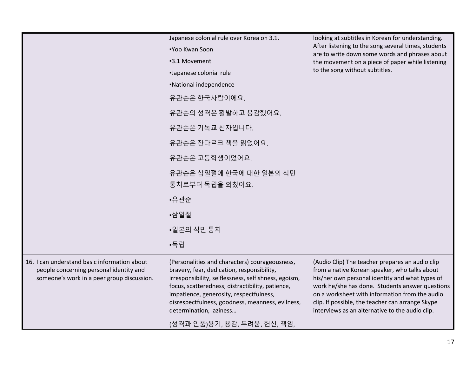|                                                                                                                                       | Japanese colonial rule over Korea on 3.1.<br>■Yoo Kwan Soon<br>-3.1 Movement<br>-Japanese colonial rule<br>-National independence<br>유관순은 한국사람이에요.<br>유관순의 성격은 활발하고 용감했어요.<br>유관순은 기독교 신자입니다.<br>유관순은 잔다르크 책을 읽었어요.<br>유관순은 고등학생이었어요.<br>유관순은 삼일절에 한국에 대한 일본의 식민<br>통치로부터 독립을 외쳤어요.<br>•유관순<br>▪삼일절<br>▪일본의 식민 통치                                                  | looking at subtitles in Korean for understanding.<br>After listening to the song several times, students<br>are to write down some words and phrases about<br>the movement on a piece of paper while listening<br>to the song without subtitles.                                                                                                                |
|---------------------------------------------------------------------------------------------------------------------------------------|--------------------------------------------------------------------------------------------------------------------------------------------------------------------------------------------------------------------------------------------------------------------------------------------------------------------------------------------------------------------|-----------------------------------------------------------------------------------------------------------------------------------------------------------------------------------------------------------------------------------------------------------------------------------------------------------------------------------------------------------------|
|                                                                                                                                       | •독립                                                                                                                                                                                                                                                                                                                                                                |                                                                                                                                                                                                                                                                                                                                                                 |
| 16. I can understand basic information about<br>people concerning personal identity and<br>someone's work in a peer group discussion. | (Personalities and characters) courageousness,<br>bravery, fear, dedication, responsibility,<br>irresponsibility, selflessness, selfishness, egoism,<br>focus, scatteredness, distractibility, patience,<br>impatience, generosity, respectfulness,<br>disrespectfulness, goodness, meanness, evilness,<br>determination, laziness<br>(성격과 인품)용기, 용감, 두려움, 헌신, 책임, | (Audio Clip) The teacher prepares an audio clip<br>from a native Korean speaker, who talks about<br>his/her own personal identity and what types of<br>work he/she has done. Students answer questions<br>on a worksheet with information from the audio<br>clip. If possible, the teacher can arrange Skype<br>interviews as an alternative to the audio clip. |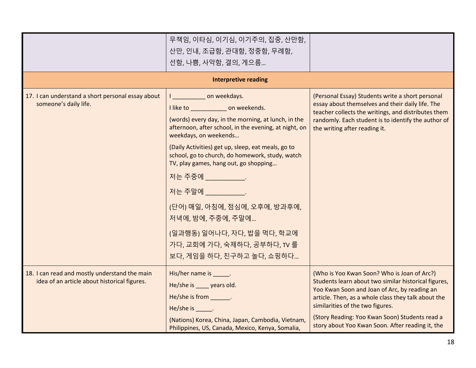|                                                                                               | 무책임, 이타심, 이기심, 이기주의, 집중, 산만함,<br>산만, 인내, 조급함, 관대함, 정중함, 무례함,                                                                                                                                          |                                                                                                                                                                                                                                                                                                                                                      |
|-----------------------------------------------------------------------------------------------|-------------------------------------------------------------------------------------------------------------------------------------------------------------------------------------------------------|------------------------------------------------------------------------------------------------------------------------------------------------------------------------------------------------------------------------------------------------------------------------------------------------------------------------------------------------------|
|                                                                                               | 선함, 나쁨, 사악함, 결의, 게으름                                                                                                                                                                                  |                                                                                                                                                                                                                                                                                                                                                      |
|                                                                                               |                                                                                                                                                                                                       |                                                                                                                                                                                                                                                                                                                                                      |
|                                                                                               | <b>Interpretive reading</b>                                                                                                                                                                           |                                                                                                                                                                                                                                                                                                                                                      |
| 17. I can understand a short personal essay about<br>someone's daily life.                    | I conveekdays.<br>I like to ________________ on weekends.<br>(words) every day, in the morning, at lunch, in the<br>afternoon, after school, in the evening, at night, on<br>weekdays, on weekends    | (Personal Essay) Students write a short personal<br>essay about themselves and their daily life. The<br>teacher collects the writings, and distributes them<br>randomly. Each student is to identify the author of<br>the writing after reading it.                                                                                                  |
|                                                                                               | (Daily Activities) get up, sleep, eat meals, go to<br>school, go to church, do homework, study, watch<br>TV, play games, hang out, go shopping                                                        |                                                                                                                                                                                                                                                                                                                                                      |
|                                                                                               | 저는 주중에 ____________.                                                                                                                                                                                  |                                                                                                                                                                                                                                                                                                                                                      |
|                                                                                               | 저는 주말에 ______________                                                                                                                                                                                 |                                                                                                                                                                                                                                                                                                                                                      |
|                                                                                               | (단어) 매일, 아침에, 점심에, 오후에, 방과후에,<br>저녁에, 밤에, 주중에, 주말에                                                                                                                                                    |                                                                                                                                                                                                                                                                                                                                                      |
|                                                                                               | (일과행동) 일어나다, 자다, 밥을 먹다, 학교에<br>가다, 교회에 가다, 숙제하다, 공부하다, TV 를<br>보다, 게임을 하다, 친구하고 놀다, 쇼핑하다                                                                                                              |                                                                                                                                                                                                                                                                                                                                                      |
| 18. I can read and mostly understand the main<br>idea of an article about historical figures. | His/her name is ______.<br>He/she is years old.<br>He/she is from _______.<br>He/she is Fig.<br>(Nations) Korea, China, Japan, Cambodia, Vietnam,<br>Philippines, US, Canada, Mexico, Kenya, Somalia, | (Who is Yoo Kwan Soon? Who is Joan of Arc?)<br>Students learn about two similar historical figures,<br>Yoo Kwan Soon and Joan of Arc, by reading an<br>article. Then, as a whole class they talk about the<br>similarities of the two figures.<br>(Story Reading: Yoo Kwan Soon) Students read a<br>story about Yoo Kwan Soon. After reading it, the |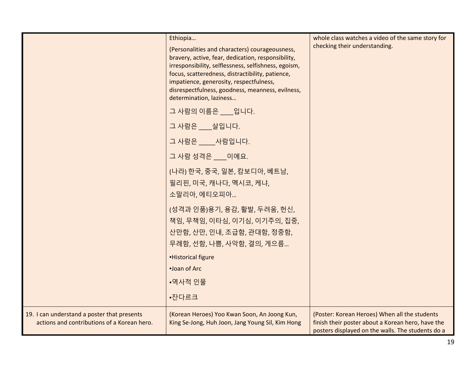|                                                                                            | Ethiopia<br>(Personalities and characters) courageousness,<br>bravery, active, fear, dedication, responsibility,<br>irresponsibility, selflessness, selfishness, egoism,<br>focus, scatteredness, distractibility, patience,<br>impatience, generosity, respectfulness,<br>disrespectfulness, goodness, meanness, evilness,<br>determination, laziness | whole class watches a video of the same story for<br>checking their understanding.                                                                      |
|--------------------------------------------------------------------------------------------|--------------------------------------------------------------------------------------------------------------------------------------------------------------------------------------------------------------------------------------------------------------------------------------------------------------------------------------------------------|---------------------------------------------------------------------------------------------------------------------------------------------------------|
|                                                                                            | 그 사람의 이름은 ___ 입니다.                                                                                                                                                                                                                                                                                                                                     |                                                                                                                                                         |
|                                                                                            | 그 사람은 살입니다.                                                                                                                                                                                                                                                                                                                                            |                                                                                                                                                         |
|                                                                                            | 그 사람은 ____사람입니다.                                                                                                                                                                                                                                                                                                                                       |                                                                                                                                                         |
|                                                                                            | 그 사람 성격은 __ 이에요.                                                                                                                                                                                                                                                                                                                                       |                                                                                                                                                         |
|                                                                                            | (나라) 한국, 중국, 일본, 캄보디아, 베트남,<br>필리핀, 미국, 캐나다, 멕시코, 케냐,<br>소말리아, 에티오피아                                                                                                                                                                                                                                                                                   |                                                                                                                                                         |
|                                                                                            | (성격과 인품)용기, 용감, 활발, 두려움, 헌신,<br>책임, 무책임, 이타심, 이기심, 이기주의, 집중,<br>산만함, 산만, 인내, 조급함, 관대함, 정중함,<br>무례함, 선함, 나쁨, 사악함, 결의, 게으름                                                                                                                                                                                                                               |                                                                                                                                                         |
|                                                                                            | -Historical figure                                                                                                                                                                                                                                                                                                                                     |                                                                                                                                                         |
|                                                                                            | -Joan of Arc                                                                                                                                                                                                                                                                                                                                           |                                                                                                                                                         |
|                                                                                            | •역사적 인물                                                                                                                                                                                                                                                                                                                                                |                                                                                                                                                         |
|                                                                                            | •잔다르크                                                                                                                                                                                                                                                                                                                                                  |                                                                                                                                                         |
| 19. I can understand a poster that presents<br>actions and contributions of a Korean hero. | (Korean Heroes) Yoo Kwan Soon, An Joong Kun,<br>King Se-Jong, Huh Joon, Jang Young Sil, Kim Hong                                                                                                                                                                                                                                                       | (Poster: Korean Heroes) When all the students<br>finish their poster about a Korean hero, have the<br>posters displayed on the walls. The students do a |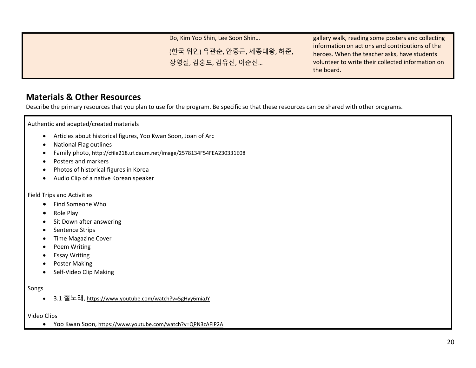| Do, Kim Yoo Shin, Lee Soon Shin                   | gallery walk, reading some posters and collecting                                                                                                                  |
|---------------------------------------------------|--------------------------------------------------------------------------------------------------------------------------------------------------------------------|
| (한국 위인) 유관순, 안중근, 세종대왕, 허준,<br>장영실, 김홍도, 김유신, 이순신 | information on actions and contributions of the<br>heroes. When the teacher asks, have students<br>volunteer to write their collected information on<br>the board. |

#### **Materials & Other Resources**

Describe the primary resources that you plan to use for the program. Be specific so that these resources can be shared with other programs.

Authentic and adapted/created materials

- Articles about historical figures, Yoo Kwan Soon, Joan of Arc
- National Flag outlines
- Family photo, http://cfile218.uf.daum.net/image/2578134F54FEA230331E08
- Posters and markers
- Photos of historical figures in Korea
- Audio Clip of a native Korean speaker

Field Trips and Activities

- Find Someone Who
- Role Play
- Sit Down after answering
- Sentence Strips
- Time Magazine Cover
- Poem Writing
- **•** Essay Writing
- Poster Making
- Self-Video Clip Making

#### Songs

• 3.1 절노래, https://www.youtube.com/watch?v=5gHyy6miaJY

#### Video Clips

Yoo Kwan Soon, <https://www.youtube.com/watch?v=QPN3zAFIP2A>